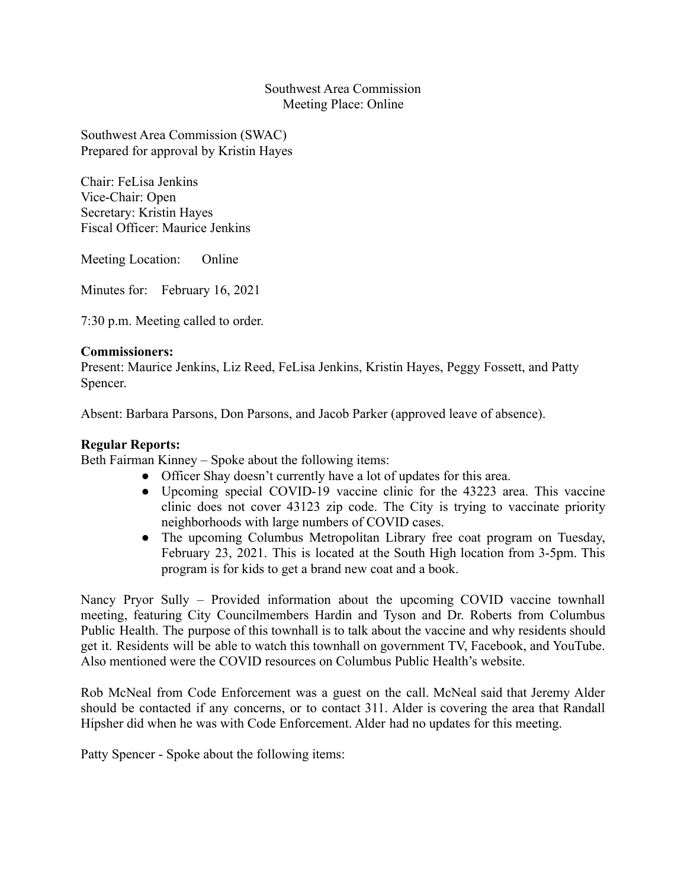### Southwest Area Commission Meeting Place: Online

Southwest Area Commission (SWAC) Prepared for approval by Kristin Hayes

Chair: FeLisa Jenkins Vice-Chair: Open Secretary: Kristin Hayes Fiscal Officer: Maurice Jenkins

Meeting Location: Online

Minutes for: February 16, 2021

7:30 p.m. Meeting called to order.

#### **Commissioners:**

Present: Maurice Jenkins, Liz Reed, FeLisa Jenkins, Kristin Hayes, Peggy Fossett, and Patty Spencer.

Absent: Barbara Parsons, Don Parsons, and Jacob Parker (approved leave of absence).

#### **Regular Reports:**

Beth Fairman Kinney – Spoke about the following items:

- Officer Shay doesn't currently have a lot of updates for this area.
- Upcoming special COVID-19 vaccine clinic for the 43223 area. This vaccine clinic does not cover 43123 zip code. The City is trying to vaccinate priority neighborhoods with large numbers of COVID cases.
- The upcoming Columbus Metropolitan Library free coat program on Tuesday, February 23, 2021. This is located at the South High location from 3-5pm. This program is for kids to get a brand new coat and a book.

Nancy Pryor Sully – Provided information about the upcoming COVID vaccine townhall meeting, featuring City Councilmembers Hardin and Tyson and Dr. Roberts from Columbus Public Health. The purpose of this townhall is to talk about the vaccine and why residents should get it. Residents will be able to watch this townhall on government TV, Facebook, and YouTube. Also mentioned were the COVID resources on Columbus Public Health's website.

Rob McNeal from Code Enforcement was a guest on the call. McNeal said that Jeremy Alder should be contacted if any concerns, or to contact 311. Alder is covering the area that Randall Hipsher did when he was with Code Enforcement. Alder had no updates for this meeting.

Patty Spencer - Spoke about the following items: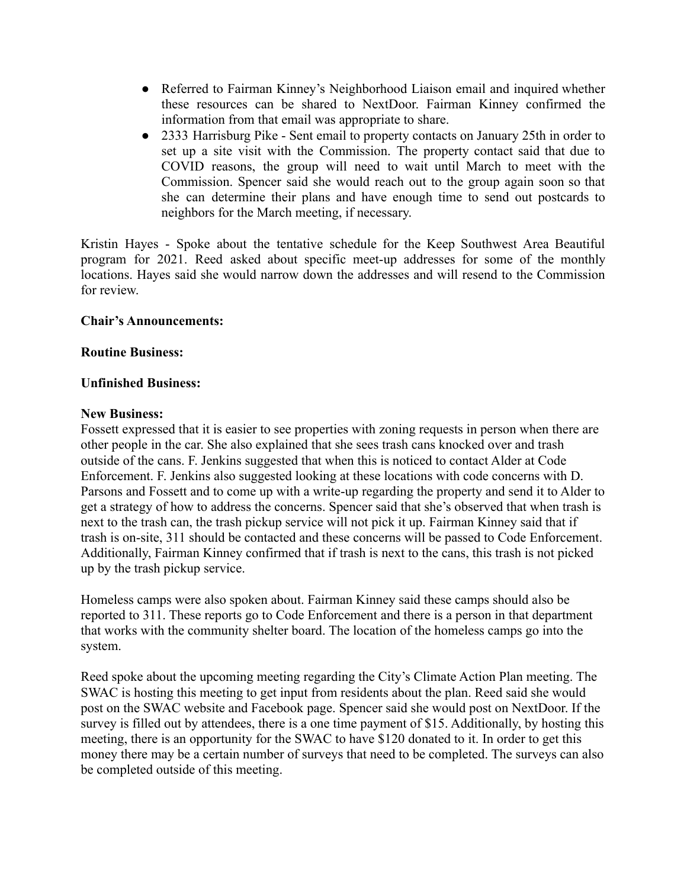- Referred to Fairman Kinney's Neighborhood Liaison email and inquired whether these resources can be shared to NextDoor. Fairman Kinney confirmed the information from that email was appropriate to share.
- 2333 Harrisburg Pike Sent email to property contacts on January 25th in order to set up a site visit with the Commission. The property contact said that due to COVID reasons, the group will need to wait until March to meet with the Commission. Spencer said she would reach out to the group again soon so that she can determine their plans and have enough time to send out postcards to neighbors for the March meeting, if necessary.

Kristin Hayes - Spoke about the tentative schedule for the Keep Southwest Area Beautiful program for 2021. Reed asked about specific meet-up addresses for some of the monthly locations. Hayes said she would narrow down the addresses and will resend to the Commission for review.

# **Chair's Announcements:**

# **Routine Business:**

# **Unfinished Business:**

#### **New Business:**

Fossett expressed that it is easier to see properties with zoning requests in person when there are other people in the car. She also explained that she sees trash cans knocked over and trash outside of the cans. F. Jenkins suggested that when this is noticed to contact Alder at Code Enforcement. F. Jenkins also suggested looking at these locations with code concerns with D. Parsons and Fossett and to come up with a write-up regarding the property and send it to Alder to get a strategy of how to address the concerns. Spencer said that she's observed that when trash is next to the trash can, the trash pickup service will not pick it up. Fairman Kinney said that if trash is on-site, 311 should be contacted and these concerns will be passed to Code Enforcement. Additionally, Fairman Kinney confirmed that if trash is next to the cans, this trash is not picked up by the trash pickup service.

Homeless camps were also spoken about. Fairman Kinney said these camps should also be reported to 311. These reports go to Code Enforcement and there is a person in that department that works with the community shelter board. The location of the homeless camps go into the system.

Reed spoke about the upcoming meeting regarding the City's Climate Action Plan meeting. The SWAC is hosting this meeting to get input from residents about the plan. Reed said she would post on the SWAC website and Facebook page. Spencer said she would post on NextDoor. If the survey is filled out by attendees, there is a one time payment of \$15. Additionally, by hosting this meeting, there is an opportunity for the SWAC to have \$120 donated to it. In order to get this money there may be a certain number of surveys that need to be completed. The surveys can also be completed outside of this meeting.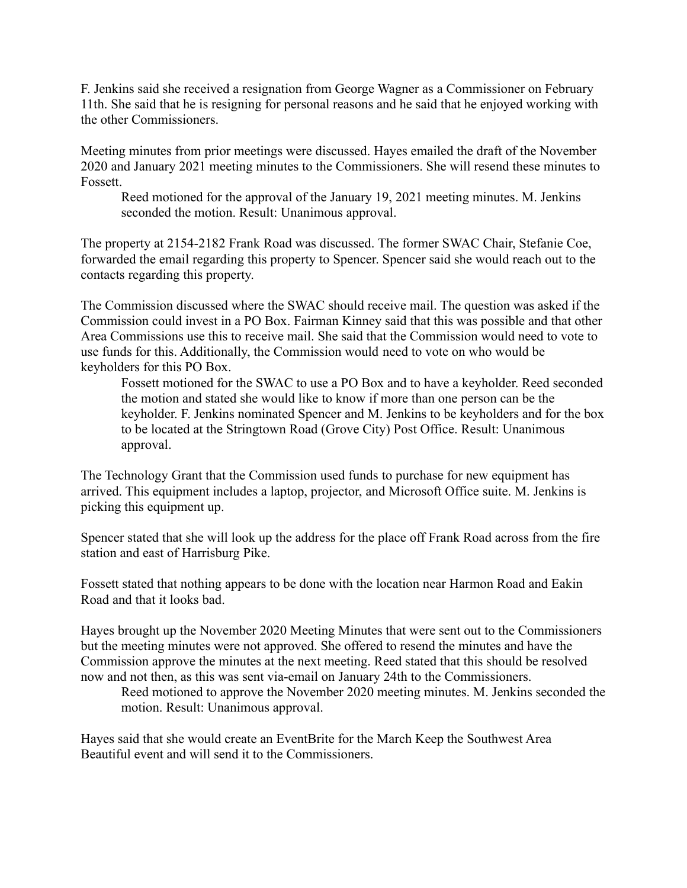F. Jenkins said she received a resignation from George Wagner as a Commissioner on February 11th. She said that he is resigning for personal reasons and he said that he enjoyed working with the other Commissioners.

Meeting minutes from prior meetings were discussed. Hayes emailed the draft of the November 2020 and January 2021 meeting minutes to the Commissioners. She will resend these minutes to Fossett.

Reed motioned for the approval of the January 19, 2021 meeting minutes. M. Jenkins seconded the motion. Result: Unanimous approval.

The property at 2154-2182 Frank Road was discussed. The former SWAC Chair, Stefanie Coe, forwarded the email regarding this property to Spencer. Spencer said she would reach out to the contacts regarding this property.

The Commission discussed where the SWAC should receive mail. The question was asked if the Commission could invest in a PO Box. Fairman Kinney said that this was possible and that other Area Commissions use this to receive mail. She said that the Commission would need to vote to use funds for this. Additionally, the Commission would need to vote on who would be keyholders for this PO Box.

Fossett motioned for the SWAC to use a PO Box and to have a keyholder. Reed seconded the motion and stated she would like to know if more than one person can be the keyholder. F. Jenkins nominated Spencer and M. Jenkins to be keyholders and for the box to be located at the Stringtown Road (Grove City) Post Office. Result: Unanimous approval.

The Technology Grant that the Commission used funds to purchase for new equipment has arrived. This equipment includes a laptop, projector, and Microsoft Office suite. M. Jenkins is picking this equipment up.

Spencer stated that she will look up the address for the place off Frank Road across from the fire station and east of Harrisburg Pike.

Fossett stated that nothing appears to be done with the location near Harmon Road and Eakin Road and that it looks bad.

Hayes brought up the November 2020 Meeting Minutes that were sent out to the Commissioners but the meeting minutes were not approved. She offered to resend the minutes and have the Commission approve the minutes at the next meeting. Reed stated that this should be resolved now and not then, as this was sent via-email on January 24th to the Commissioners.

Reed motioned to approve the November 2020 meeting minutes. M. Jenkins seconded the motion. Result: Unanimous approval.

Hayes said that she would create an EventBrite for the March Keep the Southwest Area Beautiful event and will send it to the Commissioners.